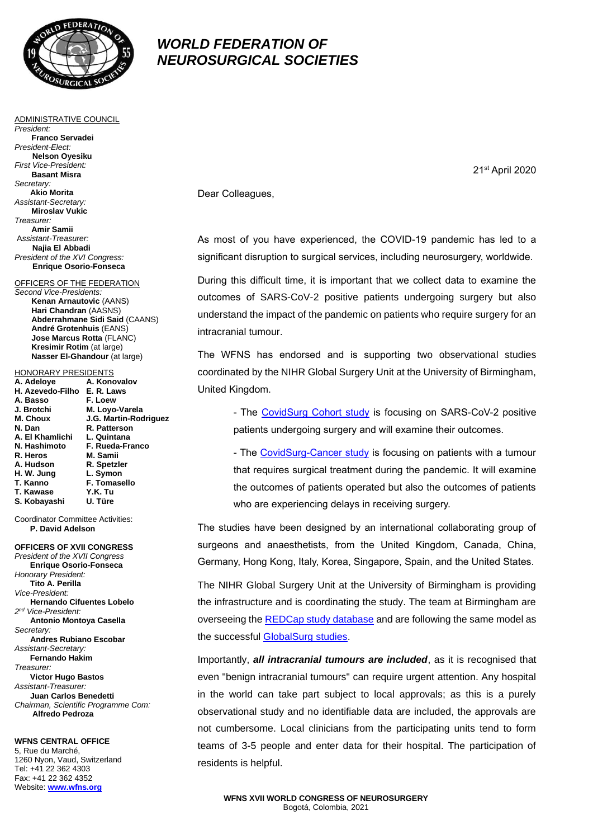

ADMINISTRATIVE COUNCIL

**Franco Servadei**

**Nelson Oyesiku** *First Vice-President:* **Basant Misra**

**Akio Morita** *Assistant-Secretary:* **Miroslav Vukic**

**Amir Samii** A*ssistant-Treasurer:* **Najia El Abbadi** *President of the XVI Congress:* **Enrique Osorio-Fonseca** OFFICERS OF THE FEDERATION

*Second Vice-Presidents:*

HONORARY PRESIDENTS **A. Adeloye A. Konovalov H. Azevedo-Filho E. R. Laws**

**J. Brotchi M. Loyo-Varela**

**N. Hashimoto F. Rueda-Franco R. Heros M. Samii**

**A. Hudson R. Spetzler**

**F. Tomasello**<br>Y.K. Tu

**N. Dan R. Patterson**<br>**A. El Khamlichi** L. Quintana

**H. W. Jung L. Symon**

**J.G. Martin-Rodriguez** 

**A. Basso** 

**T. Kawase** 

**A. El Khamlichi** 

**Kenan Arnautovic** (AANS) **Hari Chandran** (AASNS)

**Abderrahmane Sidi Said** (CAANS) **André Grotenhuis** (EANS) **Jose Marcus Rotta** (FLANC) **Kresimir Rotim** (at large) **Nasser El-Ghandour** (at large)

*President:*

*Secretary:*

*Treasurer:*

*President-Elect:*

## *WORLD FEDERATION OF NEUROSURGICAL SOCIETIES*

21st April 2020

Dear Colleagues,

As most of you have experienced, the COVID-19 pandemic has led to a significant disruption to surgical services, including neurosurgery, worldwide.

During this difficult time, it is important that we collect data to examine the outcomes of SARS-CoV-2 positive patients undergoing surgery but also understand the impact of the pandemic on patients who require surgery for an intracranial tumour.

The WFNS has endorsed and is supporting two observational studies coordinated by the NIHR Global Surgery Unit at the University of Birmingham, United Kingdom.

- The [CovidSurg Cohort study](https://globalsurg.org/covidsurgcohortstudy/) is focusing on SARS-CoV-2 positive patients undergoing surgery and will examine their outcomes.

- The [CovidSurg-Cancer study](https://globalsurg.org/cancercovidsurg/) is focusing on patients with a tumour that requires surgical treatment during the pandemic. It will examine the outcomes of patients operated but also the outcomes of patients who are experiencing delays in receiving surgery.

The studies have been designed by an international collaborating group of surgeons and anaesthetists, from the United Kingdom, Canada, China, Germany, Hong Kong, Italy, Korea, Singapore, Spain, and the United States.

The NIHR Global Surgery Unit at the University of Birmingham is providing the infrastructure and is coordinating the study. The team at Birmingham are overseeing the [REDCap study database](https://globalsurgery.redcap.bham.ac.uk/) and are following the same model as the successful **GlobalSurg studies**.

Importantly, *all intracranial tumours are included*, as it is recognised that even "benign intracranial tumours" can require urgent attention. Any hospital in the world can take part subject to local approvals; as this is a purely observational study and no identifiable data are included, the approvals are not cumbersome. Local clinicians from the participating units tend to form teams of 3-5 people and enter data for their hospital. The participation of residents is helpful.

**S. Kobayashi U. Türe** Coordinator Committee Activities: **P. David Adelson OFFICERS OF XVII CONGRESS**  *President of the XVII Congress* **Enrique Osorio-Fonseca**  *Honorary President:* **Tito A. Perilla** *Vice-President:* **Hernando Cifuentes Lobelo** *2 nd Vice-President:* **Antonio Montoya Casella**

> *Secretary:* **Andres Rubiano Escobar** *Assistant-Secretary:* **Fernando Hakim** *Treasurer:*

**Victor Hugo Bastos** *Assistant-Treasurer:* **Juan Carlos Benedetti** *Chairman, Scientific Programme Com:*   **Alfredo Pedroza**

**WFNS CENTRAL OFFICE** 5, Rue du Marché, 1260 Nyon, Vaud, Switzerland Tel: +41 22 362 4303 Fax: +41 22 362 4352 Website: **[www.wfns.org](http://www.wfns.org/)**

## **WFNS XVII WORLD CONGRESS OF NEUROSURGERY** Bogotá, Colombia, 2021